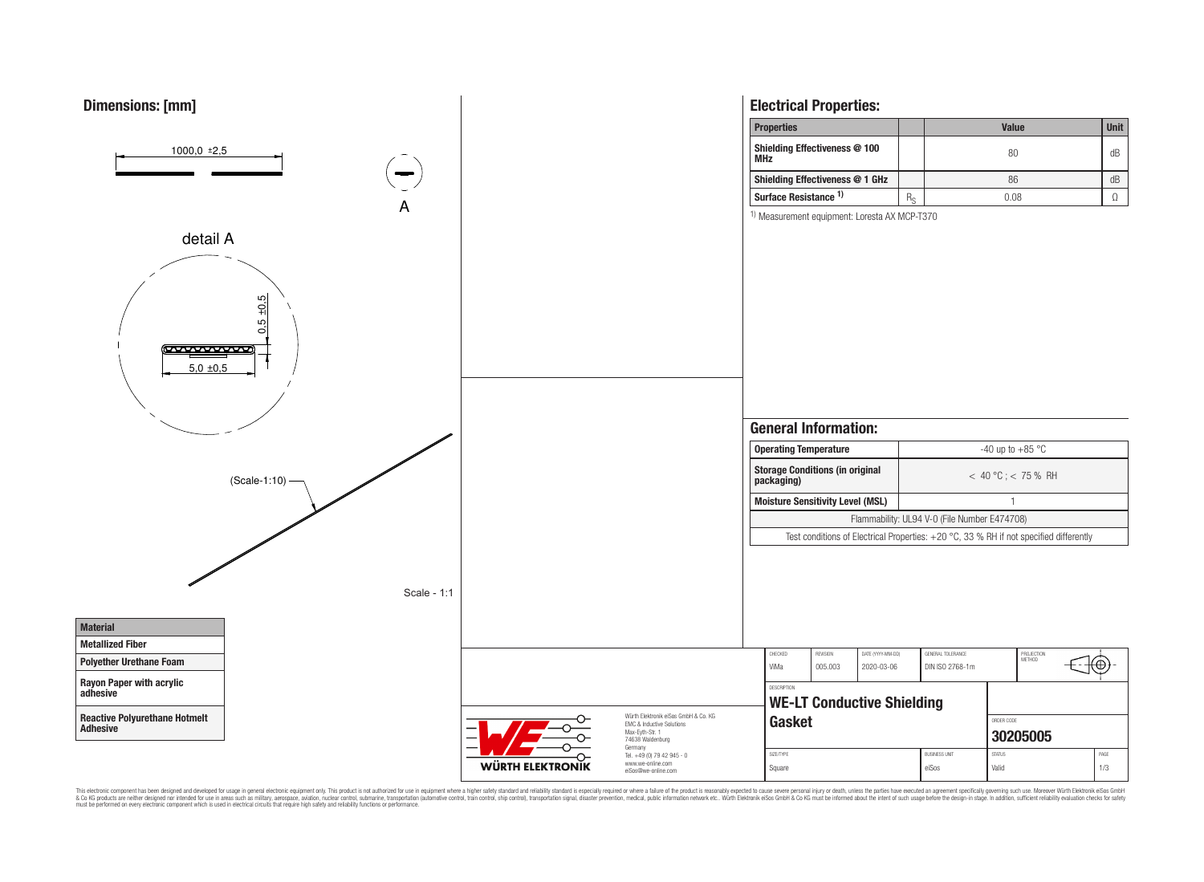

This electronic component has been designed and developed for usage in general electronic equipment only. This product is not authorized for use in equipment where a higher safely standard and reliability standard si espec & Ook product a label and the membed of the seasuch as marked and as which such a membed and the such assume that income in the seasuch and the simulation and the such assume that include to the such a membed and the such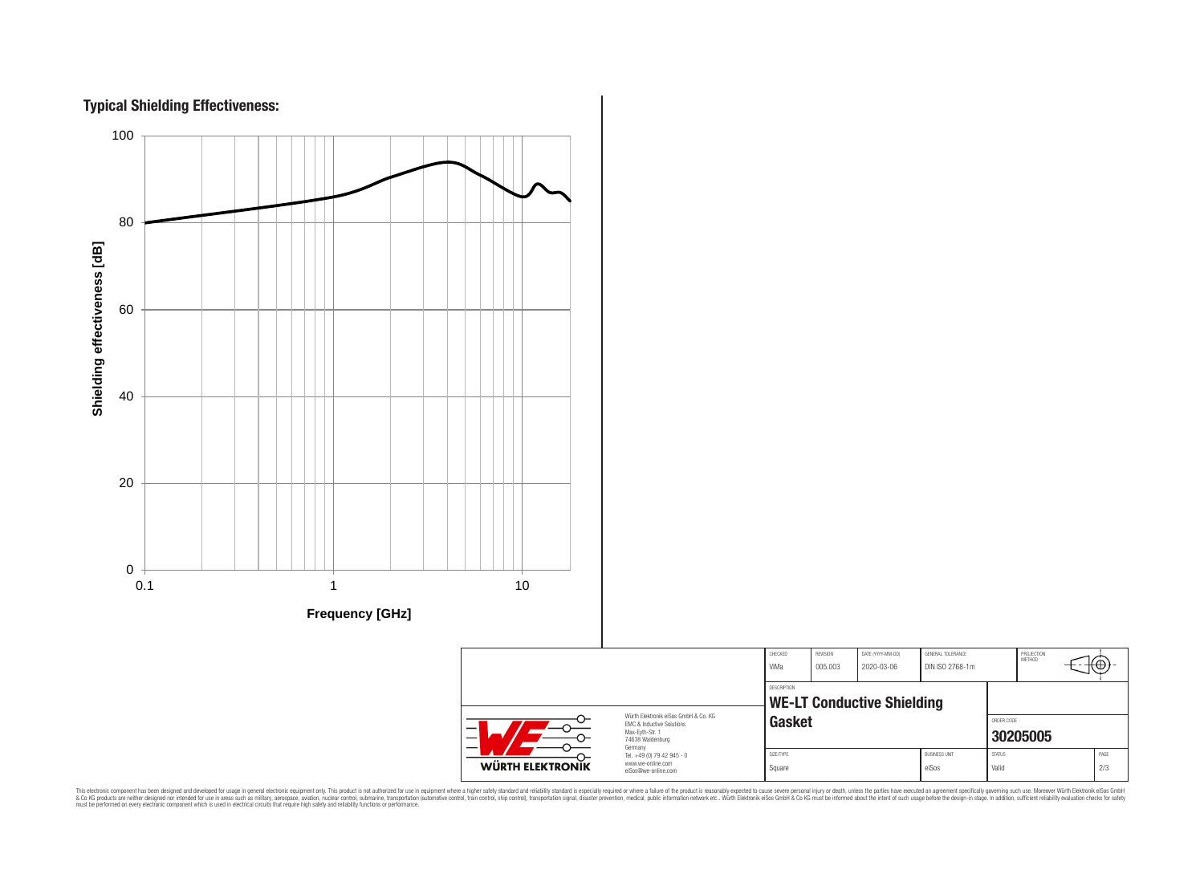



CHECKED REVISION DATE (YYYY-MM-DD) GENERAL TOLERANCE PROJECTION<br>METHOD ՜⊕ ViMa 005.003 2020-03-06 DIN ISO 2768-1m DESCRIPTION **WE-LT Conductive Shielding** Würth Elektronik eiSos GmbH & Co. KG **Gasket Gasket** EMC & Inductive Solutions Max-Eyth-Str. 1 **[30205005](https://katalog.we-online.de/en/pbs/WE-LT/30205005)** 74638 Waldenburg Germany Tel. +49 (0) 79 42 945 - 0 SIZE/TYPE BUSINESS UNIT STATUS PAGE www.we-online.com WÜRTH ELEKTRONIK Square either either ein van die eiSos van die Valid van die 2/3 eiSos@we-online.com

This electronic component has been designed and developed for usage in general electronic equipment only. This product is not authorized for subserved requipment where a higher selection equipment where a higher selection